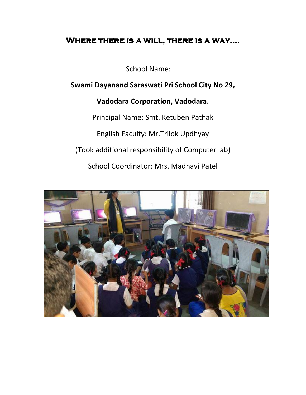# **Where there is a will, there is a way....**

School Name:

**Swami Dayanand Saraswati Pri School City No 29,**

# **Vadodara Corporation, Vadodara.**

Principal Name: Smt. Ketuben Pathak English Faculty: Mr.Trilok Updhyay (Took additional responsibility of Computer lab) School Coordinator: Mrs. Madhavi Patel

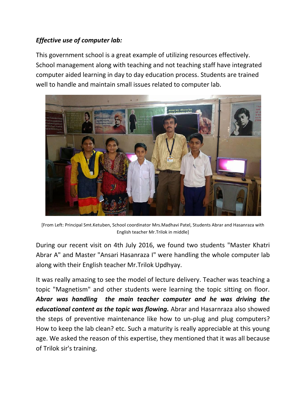## *Effective use of computer lab:*

This government school is a great example of utilizing resources effectively. School management along with teaching and not teaching staff have integrated computer aided learning in day to day education process. Students are trained well to handle and maintain small issues related to computer lab.



[From Left: Principal Smt.Ketuben, School coordinator Mrs.Madhavi Patel, Students Abrar and Hasanraza with English teacher Mr.Trilok in middle]

During our recent visit on 4th July 2016, we found two students "Master Khatri Abrar A" and Master "Ansari Hasanraza I" were handling the whole computer lab along with their English teacher Mr.Trilok Updhyay.

It was really amazing to see the model of lecture delivery. Teacher was teaching a topic "Magnetism" and other students were learning the topic sitting on floor. *Abrar was handling the main teacher computer and he was driving the educational content as the topic was flowing.* Abrar and Hasarnraza also showed the steps of preventive maintenance like how to un-plug and plug computers? How to keep the lab clean? etc. Such a maturity is really appreciable at this young age. We asked the reason of this expertise, they mentioned that it was all because of Trilok sir's training.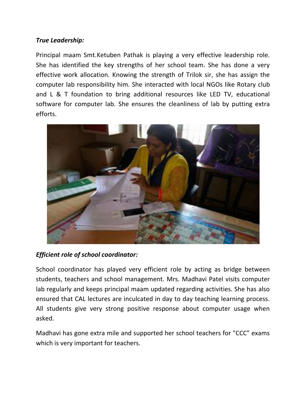### *True Leadership:*

Principal maam Smt.Ketuben Pathak is playing a very effective leadership role. She has identified the key strengths of her school team. She has done a very effective work allocation. Knowing the strength of Trilok sir, she has assign the computer lab responsibility him. She interacted with local NGOs like Rotary club and L & T foundation to bring additional resources like LED TV, educational software for computer lab. She ensures the cleanliness of lab by putting extra efforts.



### *Efficient role of school coordinator:*

School coordinator has played very efficient role by acting as bridge between students, teachers and school management. Mrs. Madhavi Patel visits computer lab regularly and keeps principal maam updated regarding activities. She has also ensured that CAL lectures are inculcated in day to day teaching learning process. All students give very strong positive response about computer usage when asked.

Madhavi has gone extra mile and supported her school teachers for "CCC" exams which is very important for teachers.